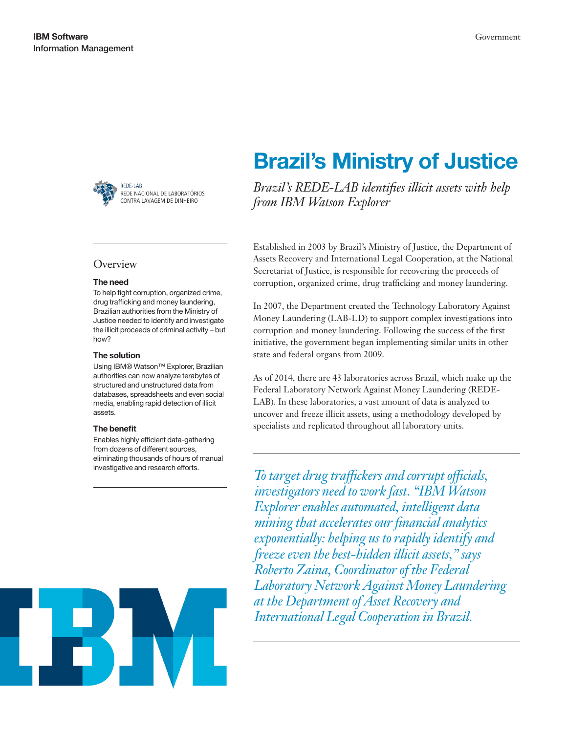

### **Overview**

#### The need

To help fight corruption, organized crime, drug trafficking and money laundering, Brazilian authorities from the Ministry of Justice needed to identify and investigate the illicit proceeds of criminal activity – but how?

#### The solution

Using IBM® Watson™ Explorer, Brazilian authorities can now analyze terabytes of structured and unstructured data from databases, spreadsheets and even social media, enabling rapid detection of illicit assets.

#### The benefit

Enables highly efficient data-gathering from dozens of different sources, eliminating thousands of hours of manual

# Brazil's Ministry of Justice

*Brazil's REDE-LAB identifies illicit assets with help from IBM Watson Explorer*

Established in 2003 by Brazil's Ministry of Justice, the Department of Assets Recovery and International Legal Cooperation, at the National Secretariat of Justice, is responsible for recovering the proceeds of corruption, organized crime, drug trafficking and money laundering.

In 2007, the Department created the Technology Laboratory Against Money Laundering (LAB-LD) to support complex investigations into corruption and money laundering. Following the success of the first initiative, the government began implementing similar units in other state and federal organs from 2009.

As of 2014, there are 43 laboratories across Brazil, which make up the Federal Laboratory Network Against Money Laundering (REDE-LAB). In these laboratories, a vast amount of data is analyzed to uncover and freeze illicit assets, using a methodology developed by specialists and replicated throughout all laboratory units.

investigative and research efforts. *To target drug traffickers and corrupt officials, investigators need to work fast. "IBM Watson Explorer enables automated, intelligent data mining that accelerates our financial analytics exponentially: helping us to rapidly identify and freeze even the best-hidden illicit assets," says Roberto Zaina, Coordinator of the Federal Laboratory Network Against Money Laundering at the Department of Asset Recovery and International Legal Cooperation in Brazil.*

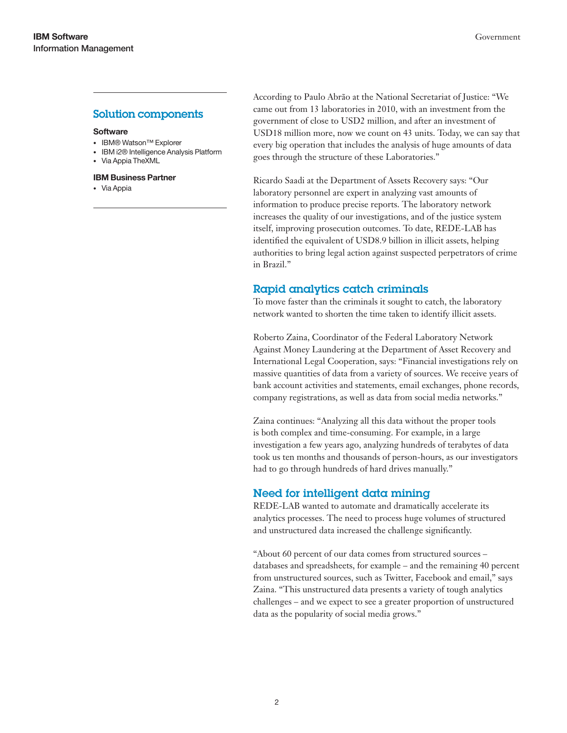## Solution components

#### **Software**

- IBM® Watson™ Explorer
- IBM i2® Intelligence Analysis Platform
- Via Appia TheXML
- IBM Business Partner
- Via Appia

According to Paulo Abrão at the National Secretariat of Justice: "We came out from 13 laboratories in 2010, with an investment from the government of close to USD2 million, and after an investment of USD18 million more, now we count on 43 units. Today, we can say that every big operation that includes the analysis of huge amounts of data goes through the structure of these Laboratories."

Ricardo Saadi at the Department of Assets Recovery says: "Our laboratory personnel are expert in analyzing vast amounts of information to produce precise reports. The laboratory network increases the quality of our investigations, and of the justice system itself, improving prosecution outcomes. To date, REDE-LAB has identified the equivalent of USD8.9 billion in illicit assets, helping authorities to bring legal action against suspected perpetrators of crime in Brazil."

## Rapid analytics catch criminals

To move faster than the criminals it sought to catch, the laboratory network wanted to shorten the time taken to identify illicit assets.

Roberto Zaina, Coordinator of the Federal Laboratory Network Against Money Laundering at the Department of Asset Recovery and International Legal Cooperation, says: "Financial investigations rely on massive quantities of data from a variety of sources. We receive years of bank account activities and statements, email exchanges, phone records, company registrations, as well as data from social media networks."

Zaina continues: "Analyzing all this data without the proper tools is both complex and time-consuming. For example, in a large investigation a few years ago, analyzing hundreds of terabytes of data took us ten months and thousands of person-hours, as our investigators had to go through hundreds of hard drives manually."

## Need for intelligent data mining

REDE-LAB wanted to automate and dramatically accelerate its analytics processes. The need to process huge volumes of structured and unstructured data increased the challenge significantly.

"About 60 percent of our data comes from structured sources – databases and spreadsheets, for example – and the remaining 40 percent from unstructured sources, such as Twitter, Facebook and email," says Zaina. "This unstructured data presents a variety of tough analytics challenges – and we expect to see a greater proportion of unstructured data as the popularity of social media grows."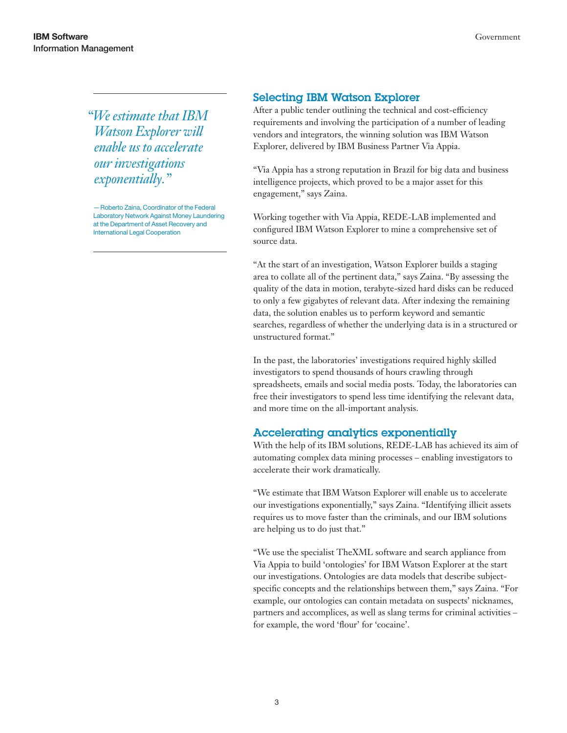*"We estimate that IBM Watson Explorer will enable us to accelerate our investigations exponentially."*

—Roberto Zaina, Coordinator of the Federal Laboratory Network Against Money Laundering at the Department of Asset Recovery and International Legal Cooperation

## Selecting IBM Watson Explorer

After a public tender outlining the technical and cost-efficiency requirements and involving the participation of a number of leading vendors and integrators, the winning solution was IBM Watson Explorer, delivered by IBM Business Partner Via Appia.

"Via Appia has a strong reputation in Brazil for big data and business intelligence projects, which proved to be a major asset for this engagement," says Zaina.

Working together with Via Appia, REDE-LAB implemented and configured IBM Watson Explorer to mine a comprehensive set of source data.

"At the start of an investigation, Watson Explorer builds a staging area to collate all of the pertinent data," says Zaina. "By assessing the quality of the data in motion, terabyte-sized hard disks can be reduced to only a few gigabytes of relevant data. After indexing the remaining data, the solution enables us to perform keyword and semantic searches, regardless of whether the underlying data is in a structured or unstructured format."

In the past, the laboratories' investigations required highly skilled investigators to spend thousands of hours crawling through spreadsheets, emails and social media posts. Today, the laboratories can free their investigators to spend less time identifying the relevant data, and more time on the all-important analysis.

## Accelerating analytics exponentially

With the help of its IBM solutions, REDE-LAB has achieved its aim of automating complex data mining processes – enabling investigators to accelerate their work dramatically.

"We estimate that IBM Watson Explorer will enable us to accelerate our investigations exponentially," says Zaina. "Identifying illicit assets requires us to move faster than the criminals, and our IBM solutions are helping us to do just that."

"We use the specialist TheXML software and search appliance from Via Appia to build 'ontologies' for IBM Watson Explorer at the start our investigations. Ontologies are data models that describe subjectspecific concepts and the relationships between them," says Zaina. "For example, our ontologies can contain metadata on suspects' nicknames, partners and accomplices, as well as slang terms for criminal activities – for example, the word 'flour' for 'cocaine'.